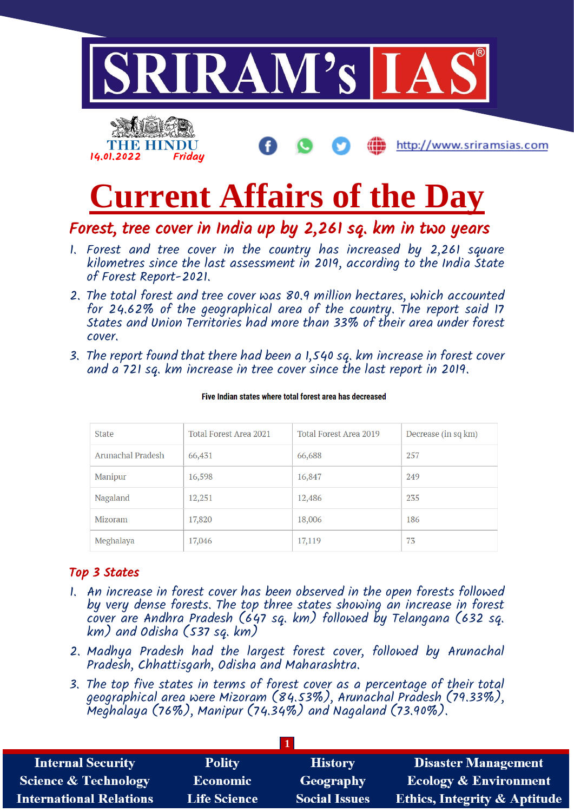



Forest, tree cover in India up by 2,261 sq. km in two years

- 1. Forest and tree cover in the country has increased by 2,261 square kilometres since the last assessment in 2019, according to the India State of Forest Report-2021.
- 2. The total forest and tree cover was 80.9 million hectares, which accounted for 24.62% of the geographical area of the country. The report said 17 States and Union Territories had more than 33% of their area under forest cover.
- 3. The report found that there had been a 1,540 sq. km increase in forest cover and a 721 sq. km increase in tree cover since the last report in 2019.

| <b>State</b>      | Total Forest Area 2021 | Total Forest Area 2019 | Decrease (in sq km) |
|-------------------|------------------------|------------------------|---------------------|
| Arunachal Pradesh | 66,431                 | 66,688                 | 257                 |
| Manipur           | 16,598                 | 16,847                 | 249                 |
| Nagaland          | 12,251                 | 12,486                 | 235                 |
| Mizoram           | 17,820                 | 18,006                 | 186                 |
| Meghalaya         | 17,046                 | 17,119                 | 73                  |

Five Indian states where total forest area has decreased

# Top 3 States

14.01.2022 Friday

THE HINDU

- 1. An increase in forest cover has been observed in the open forests followed by very dense forests. The top three states showing an increase in forest cover are Andhra Pradesh (647 sq. km) followed by Telangana (632 sq. km) and Odisha (537 sq. km)
- 2. Madhya Pradesh had the largest forest cover, followed by Arunachal Pradesh, Chhattisgarh, Odisha and Maharashtra.
- 3. The top five states in terms of forest cover as a percentage of their total geographical area were Mizoram (84.53%), Arunachal Pradesh (79.33%), Meghalaya (76%), Manipur (74.34%) and Nagaland (73.90%).

| <b>Internal Security</b>        | <b>Polity</b>       | <b>History</b>       | <b>Disaster Management</b>              |
|---------------------------------|---------------------|----------------------|-----------------------------------------|
| <b>Science &amp; Technology</b> | <b>Economic</b>     | <b>Geography</b>     | <b>Ecology &amp; Environment</b>        |
| <b>International Relations</b>  | <b>Life Science</b> | <b>Social Issues</b> | <b>Ethics, Integrity &amp; Aptitude</b> |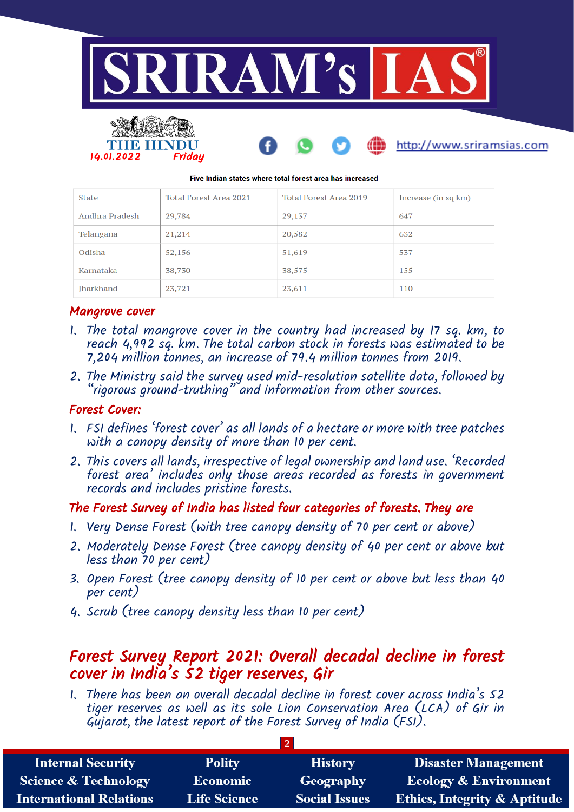

#### Five Indian states where total forest area has increased

| <b>State</b>     | Total Forest Area 2021 | Total Forest Area 2019 | Increase (in sq km) |
|------------------|------------------------|------------------------|---------------------|
| Andhra Pradesh   | 29,784                 | 29,137                 | 647                 |
| Telangana        | 21,214                 | 20,582                 | 632                 |
| Odisha           | 52,156                 | 51,619                 | 537                 |
| Karnataka        | 38,730                 | 38,575                 | 155                 |
| <b>Iharkhand</b> | 23,721                 | 23,611                 | 110                 |

#### Mangrove cover

14.01.2022 Friday

- 1. The total mangrove cover in the country had increased by 17 sq. km, to reach 4,992 sq. km. The total carbon stock in forests was estimated to be 7,204 million tonnes, an increase of 79.4 million tonnes from 2019.
- 2. The Ministry said the survey used mid-resolution satellite data, followed by "rigorous ground-truthing" and information from other sources.

#### Forest Cover:

- 1. FSI defines 'forest cover' as all lands of a hectare or more with tree patches with a canopy density of more than 10 per cent.
- 2. This covers all lands, irrespective of legal ownership and land use. 'Recorded forest area' includes only those areas recorded as forests in government records and includes pristine forests.

### The Forest Survey of India has listed four categories of forests. They are

- 1. Very Dense Forest (with tree canopy density of 70 per cent or above)
- 2. Moderately Dense Forest (tree canopy density of 40 per cent or above but less than 70 per cent)
- 3. Open Forest (tree canopy density of 10 per cent or above but less than 40 per cent)
- 4. Scrub (tree canopy density less than 10 per cent)

# Forest Survey Report 2021: Overall decadal decline in forest cover in India's 52 tiger reserves, Gir

1. There has been an overall decadal decline in forest cover across India's 52 tiger reserves as well as its sole Lion Conservation Area (LCA) of Gir in Gujarat, the latest report of the Forest Survey of India (FSI).

| <b>Internal Security</b>        | <b>Polity</b>       | <b>History</b>       | <b>Disaster Management</b>              |
|---------------------------------|---------------------|----------------------|-----------------------------------------|
| <b>Science &amp; Technology</b> | <b>Economic</b>     | Geography            | <b>Ecology &amp; Environment</b>        |
| <b>International Relations</b>  | <b>Life Science</b> | <b>Social Issues</b> | <b>Ethics, Integrity &amp; Aptitude</b> |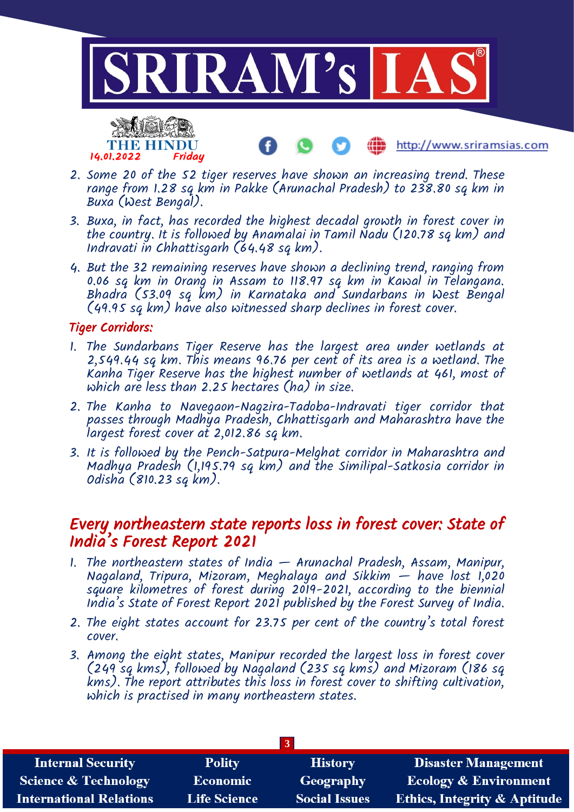



- http://www.sriramsias.com
- 2. Some 20 of the 52 tiger reserves have shown an increasing trend. These range from 1.28 sq km in Pakke (Arunachal Pradesh) to 238.80 sq km in Buxa (West Bengal).
- 3. Buxa, in fact, has recorded the highest decadal growth in forest cover in the country. It is followed by Anamalai in Tamil Nadu (120.78 sq km) and Indravati in Chhattisgarh (64.48 sq km).
- 4. But the 32 remaining reserves have shown a declining trend, ranging from 0.06 sq km in Orang in Assam to 118.97 sq km in Kawal in Telangana. Bhadra (53.09 sq km) in Karnataka and Sundarbans in West Bengal (49.95 sq km) have also witnessed sharp declines in forest cover.

# Tiger Corridors:

- 1. The Sundarbans Tiger Reserve has the largest area under wetlands at 2,549.44 sq km. This means 96.76 per cent of its area is a wetland. The Kanha Tiger Reserve has the highest number of wetlands at 461, most of which are less than 2.25 hectares (ha) in size.
- 2. The Kanha to Navegaon-Nagzira-Tadoba-Indravati tiger corridor that passes through Madhya Pradesh, Chhattisgarh and Maharashtra have the largest forest cover at 2,012.86 sq km.
- 3. It is followed by the Pench-Satpura-Melghat corridor in Maharashtra and Madhya Pradesh (1,195.79 sq km) and the Similipal-Satkosia corridor in Odisha (810.23 sq km).

# Every northeastern state reports loss in forest cover: State of India's Forest Report 2021

- 1. The northeastern states of India Arunachal Pradesh, Assam, Manipur, Nagaland, Tripura, Mizoram, Meghalaya and Sikkim  $-$  have lost 1,020 square kilometres of forest during 2019-2021, according to the biennial India's State of Forest Report 2021 published by the Forest Survey of India.
- 2. The eight states account for 23.75 per cent of the country's total forest cover.
- 3. Among the eight states, Manipur recorded the largest loss in forest cover (249 sq kms), followed by Nagaland (235 sq kms) and Mizoram (186 sq kms). The report attributes this loss in forest cover to shifting cultivation, which is practised in many northeastern states.

|                                 |                     | 3                    |                                         |
|---------------------------------|---------------------|----------------------|-----------------------------------------|
| <b>Internal Security</b>        | <b>Polity</b>       | <b>History</b>       | <b>Disaster Management</b>              |
| <b>Science &amp; Technology</b> | <b>Economic</b>     | <b>Geography</b>     | <b>Ecology &amp; Environment</b>        |
| <b>International Relations</b>  | <b>Life Science</b> | <b>Social Issues</b> | <b>Ethics, Integrity &amp; Aptitude</b> |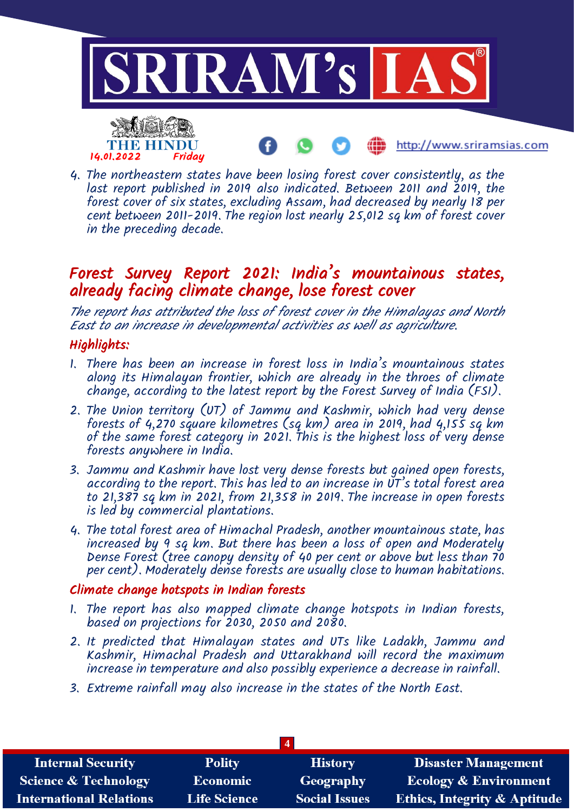

4. The northeastern states have been losing forest cover consistently, as the last report published in 2019 also indicated. Between 2011 and 2019, the forest cover of six states, excluding Assam, had decreased by nearly 18 per cent between 2011-2019. The region lost nearly 25,012 sq km of forest cover in the preceding decade.

# Forest Survey Report 2021: India's mountainous states, already facing climate change, lose forest cover

The report has attributed the loss of forest cover in the Himalayas and North East to an increase in developmental activities as well as agriculture.

# Highlights:

- 1. There has been an increase in forest loss in India's mountainous states along its Himalayan frontier, which are already in the throes of climate change, according to the latest report by the Forest Survey of India (FSI).
- 2. The Union territory (UT) of Jammu and Kashmir, which had very dense forests of  $4,270$  square kilometres (sq km) area in 2019, had  $4,155$  sq km of the same forest category in 2021. This is the highest loss of very dense forests anywhere in India.
- 3. Jammu and Kashmir have lost very dense forests but gained open forests, according to the report. This has led to an increase in  $\check{\mathtt{U}}$ T's total forest area to 21,387 sq km in 2021, from 21,358 in 2019. The increase in open forests is led by commercial plantations.
- 4. The total forest area of Himachal Pradesh, another mountainous state, has increased by 9 sq km. But there has been a loss of open and Moderately Dense Forest (tree canopy density of 40 per cent or above but less than 70 per cent). Moderately dense forests are usually close to human habitations.

## Climate change hotspots in Indian forests

- 1. The report has also mapped climate change hotspots in Indian forests, based on projections for 2030, 2050 and 2080.
- 2. It predicted that Himalayan states and UTs like Ladakh, Jammu and Kashmir, Himachal Pradesh and Uttarakhand will record the maximum increase in temperature and also possibly experience a decrease in rainfall.
- 3. Extreme rainfall may also increase in the states of the North East.

| <b>Internal Security</b>        | <b>Polity</b>       | <b>History</b>       | <b>Disaster Management</b>              |
|---------------------------------|---------------------|----------------------|-----------------------------------------|
| <b>Science &amp; Technology</b> | <b>Economic</b>     | Geography            | <b>Ecology &amp; Environment</b>        |
| <b>International Relations</b>  | <b>Life Science</b> | <b>Social Issues</b> | <b>Ethics, Integrity &amp; Aptitude</b> |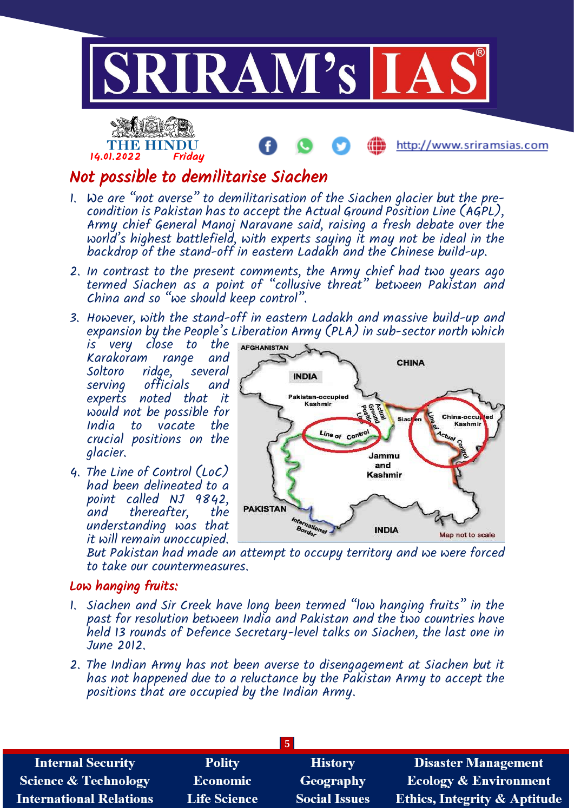



THE HINDU

- 1. We are "not averse" to demilitarisation of the Siachen glacier but the precondition is Pakistan has to accept the Actual Ground Position Line  $(AGPL)$ , Army chief General Manoj Naravane said, raising a fresh debate over the world's highest battlefield, with experts saying it may not be ideal in the backdrop of the stand-off in eastern Ladakh and the Chinese build-up.
- 2. In contrast to the present comments, the Army chief had two years ago termed Siachen as a point of "collusive threat" between Pakistan and China and so "we should keep control".
- 3. However, with the stand-off in eastern Ladakh and massive build-up and expansion by the People's Liberation Army (PLA) in sub-sector north which

is very close to the Karakoram range and<br>Soltoro ridoe, several Soltoro ridge, several<br>servina officials and officials experts noted that it would not be possible for India to vacate the crucial positions on the glacier.

4. The Line of Control (LoC) had been delineated to a point called NJ 9842,<br>and thereafter. the thereafter, understanding was that it will remain unoccupied.



http://www.sriramsias.com

But Pakistan had made an attempt to occupy territory and we were forced to take our countermeasures.

## Low hanging fruits:

- 1. Siachen and Sir Creek have long been termed "low hanging fruits" in the past for resolution between India and Pakistan and the two countries have held 13 rounds of Defence Secretary-level talks on Siachen, the last one in June 2012.
- 2. The Indian Army has not been averse to disengagement at Siachen but it has not happened due to a reluctance by the Pakistan Army to accept the positions that are occupied by the Indian Army.

| <b>Internal Security</b>        | <b>Polity</b>       | <b>History</b>       | <b>Disaster Management</b>              |
|---------------------------------|---------------------|----------------------|-----------------------------------------|
| <b>Science &amp; Technology</b> | <b>Economic</b>     | Geography            | <b>Ecology &amp; Environment</b>        |
| <b>International Relations</b>  | <b>Life Science</b> | <b>Social Issues</b> | <b>Ethics, Integrity &amp; Aptitude</b> |